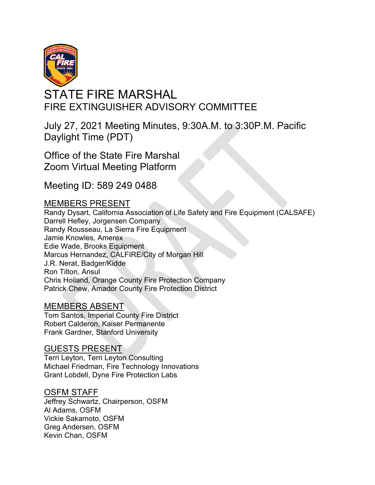

# STATE FIRE MARSHAL FIRE EXTINGUISHER ADVISORY COMMITTEE

July 27, 2021 Meeting Minutes, 9:30A.M. to 3:30P.M. Pacific Daylight Time (PDT)

Office of the State Fire Marshal Zoom Virtual Meeting Platform

Meeting ID: 589 249 0488

# MEMBERS PRESENT

Randy Dysart, California Association of Life Safety and Fire Equipment (CALSAFE) Darrell Hefley, Jorgensen Company Randy Rousseau, La Sierra Fire Equipment Jamie Knowles, Amerex Edie Wade, Brooks Equipment Marcus Hernandez, CALFIRE/City of Morgan Hill J.R. Nerat, Badger/Kidde Ron Tilton, Ansul Chris Hoiland, Orange County Fire Protection Company Patrick Chew, Amador County Fire Protection District

# MEMBERS ABSENT

Robert Calderon, Kaiser Permanente Frank Gardner, Stanford University Tom Santos, Imperial County Fire District

# GUESTS PRESENT

Terri Leyton, Terri Leyton Consulting Michael Friedman, Fire Technology Innovations Grant Lobdell, Dyne Fire Protection Labs

# OSFM STAFF

Jeffrey Schwartz, Chairperson, OSFM Al Adams, OSFM Vickie Sakamoto, OSFM Greg Andersen, OSFM Kevin Chan, OSFM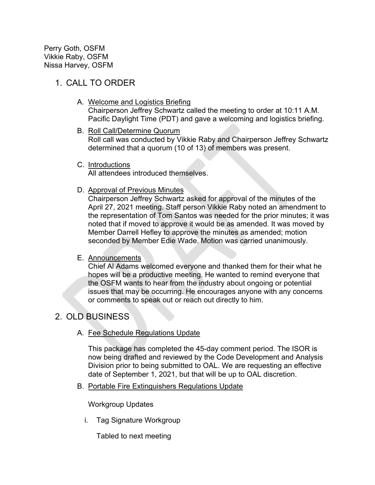Perry Goth, OSFM Vikkie Raby, OSFM Nissa Harvey, OSFM

# 1. CALL TO ORDER

- A. Welcome and Logistics Briefing Chairperson Jeffrey Schwartz called the meeting to order at 10:11 A.M. Pacific Daylight Time (PDT) and gave a welcoming and logistics briefing.
- B. Roll Call/Determine Quorum Roll call was conducted by Vikkie Raby and Chairperson Jeffrey Schwartz determined that a quorum (10 of 13) of members was present.
- C. Introductions

All attendees introduced themselves.

D. Approval of Previous Minutes

Chairperson Jeffrey Schwartz asked for approval of the minutes of the April 27, 2021 meeting. Staff person Vikkie Raby noted an amendment to the representation of Tom Santos was needed for the prior minutes; it was noted that if moved to approve it would be as amended. It was moved by Member Darrell Hefley to approve the minutes as amended; motion seconded by Member Edie Wade. Motion was carried unanimously.

#### E. Announcements

Chief Al Adams welcomed everyone and thanked them for their what he hopes will be a productive meeting. He wanted to remind everyone that the OSFM wants to hear from the industry about ongoing or potential issues that may be occurring. He encourages anyone with any concerns or comments to speak out or reach out directly to him.

# 2. OLD BUSINESS

A. Fee Schedule Regulations Update

This package has completed the 45-day comment period. The ISOR is now being drafted and reviewed by the Code Development and Analysis Division prior to being submitted to OAL. We are requesting an effective date of September 1, 2021, but that will be up to OAL discretion.

B. Portable Fire Extinguishers Regulations Update

Workgroup Updates

i. Tag Signature Workgroup

Tabled to next meeting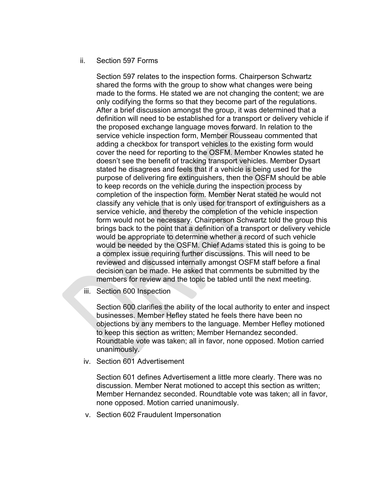#### ii. Section 597 Forms

Section 597 relates to the inspection forms. Chairperson Schwartz shared the forms with the group to show what changes were being made to the forms. He stated we are not changing the content; we are only codifying the forms so that they become part of the regulations. After a brief discussion amongst the group, it was determined that a definition will need to be established for a transport or delivery vehicle if doesn't see the benefit of tracking transport vehicles. Member Dysart stated he disagrees and feels that if a vehicle is being used for the purpose of delivering fire extinguishers, then the OSFM should be able to keep records on the vehicle during the inspection process by completion of the inspection form. Member Nerat stated he would not classify any vehicle that is only used for transport of extinguishers as a service vehicle, and thereby the completion of the vehicle inspection form would not be necessary. Chairperson Schwartz told the group this brings back to the point that a definition of a transport or delivery vehicle the proposed exchange language moves forward. In relation to the service vehicle inspection form, Member Rousseau commented that adding a checkbox for transport vehicles to the existing form would cover the need for reporting to the OSFM. Member Knowles stated he would be appropriate to determine whether a record of such vehicle would be needed by the OSFM. Chief Adams stated this is going to be a complex issue requiring further discussions. This will need to be reviewed and discussed internally amongst OSFM staff before a final decision can be made. He asked that comments be submitted by the members for review and the topic be tabled until the next meeting.

iii. Section 600 Inspection

Section 600 clarifies the ability of the local authority to enter and inspect businesses. Member Hefley stated he feels there have been no objections by any members to the language. Member Hefley motioned to keep this section as written; Member Hernandez seconded. Roundtable vote was taken; all in favor, none opposed. Motion carried unanimously.

iv. Section 601 Advertisement

Section 601 defines Advertisement a little more clearly. There was no discussion. Member Nerat motioned to accept this section as written; Member Hernandez seconded. Roundtable vote was taken; all in favor, none opposed. Motion carried unanimously.

v. Section 602 Fraudulent Impersonation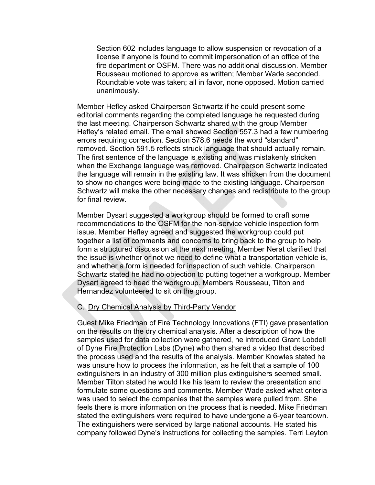Section 602 includes language to allow suspension or revocation of a license if anyone is found to commit impersonation of an office of the fire department or OSFM. There was no additional discussion. Member Rousseau motioned to approve as written; Member Wade seconded. Roundtable vote was taken; all in favor, none opposed. Motion carried unanimously.

the last meeting. Chairperson Schwartz shared with the group Member Hefley's related email. The email showed Section 557.3 had a few numbering errors requiring correction. Section 578.6 needs the word "standard" removed. Section 591.5 reflects struck language that should actually remain. The first sentence of the language is existing and was mistakenly stricken when the Exchange language was removed. Chairperson Schwartz indicated the language will remain in the existing law. It was stricken from the document to show no changes were being made to the existing language. Chairperson Schwartz will make the other necessary changes and redistribute to the group for final review. Member Hefley asked Chairperson Schwartz if he could present some editorial comments regarding the completed language he requested during

Member Dysart suggested a workgroup should be formed to draft some recommendations to the OSFM for the non-service vehicle inspection form issue. Member Hefley agreed and suggested the workgroup could put together a list of comments and concerns to bring back to the group to help form a structured discussion at the next meeting. Member Nerat clarified that the issue is whether or not we need to define what a transportation vehicle is, and whether a form is needed for inspection of such vehicle. Chairperson Schwartz stated he had no objection to putting together a workgroup. Member Dysart agreed to head the workgroup. Members Rousseau, Tilton and Hernandez volunteered to sit on the group.

#### C. Dry Chemical Analysis by Third-Party Vendor

Guest Mike Friedman of Fire Technology Innovations (FTI) gave presentation on the results on the dry chemical analysis. After a description of how the samples used for data collection were gathered, he introduced Grant Lobdell of Dyne Fire Protection Labs (Dyne) who then shared a video that described the process used and the results of the analysis. Member Knowles stated he was unsure how to process the information, as he felt that a sample of 100 extinguishers in an industry of 300 million plus extinguishers seemed small. Member Tilton stated he would like his team to review the presentation and formulate some questions and comments. Member Wade asked what criteria was used to select the companies that the samples were pulled from. She feels there is more information on the process that is needed. Mike Friedman stated the extinguishers were required to have undergone a 6-year teardown. The extinguishers were serviced by large national accounts. He stated his company followed Dyne's instructions for collecting the samples. Terri Leyton